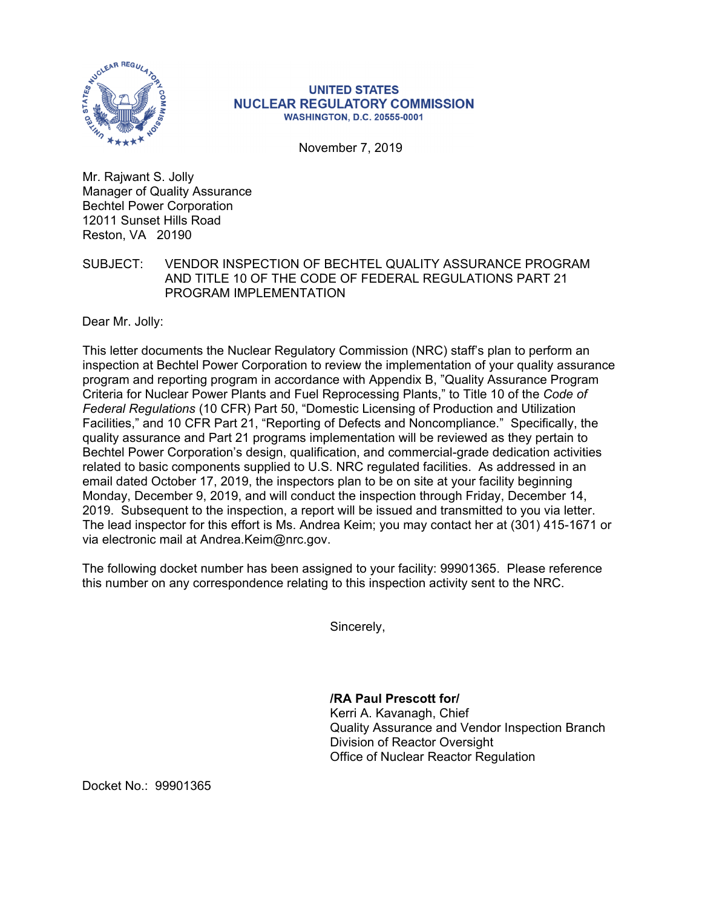

## **UNITED STATES NUCLEAR REGULATORY COMMISSION WASHINGTON, D.C. 20555-0001**

November 7, 2019

Mr. Rajwant S. Jolly Manager of Quality Assurance Bechtel Power Corporation 12011 Sunset Hills Road Reston, VA 20190

## SUBJECT: VENDOR INSPECTION OF BECHTEL QUALITY ASSURANCE PROGRAM AND TITLE 10 OF THE CODE OF FEDERAL REGULATIONS PART 21 PROGRAM IMPLEMENTATION

Dear Mr. Jolly:

This letter documents the Nuclear Regulatory Commission (NRC) staff's plan to perform an inspection at Bechtel Power Corporation to review the implementation of your quality assurance program and reporting program in accordance with Appendix B, "Quality Assurance Program Criteria for Nuclear Power Plants and Fuel Reprocessing Plants," to Title 10 of the *Code of Federal Regulations* (10 CFR) Part 50, "Domestic Licensing of Production and Utilization Facilities," and 10 CFR Part 21, "Reporting of Defects and Noncompliance." Specifically, the quality assurance and Part 21 programs implementation will be reviewed as they pertain to Bechtel Power Corporation's design, qualification, and commercial-grade dedication activities related to basic components supplied to U.S. NRC regulated facilities. As addressed in an email dated October 17, 2019, the inspectors plan to be on site at your facility beginning Monday, December 9, 2019, and will conduct the inspection through Friday, December 14, 2019. Subsequent to the inspection, a report will be issued and transmitted to you via letter. The lead inspector for this effort is Ms. Andrea Keim; you may contact her at (301) 415-1671 or via electronic mail at Andrea.Keim@nrc.gov.

The following docket number has been assigned to your facility: 99901365. Please reference this number on any correspondence relating to this inspection activity sent to the NRC.

Sincerely,

**/RA Paul Prescott for/** Kerri A. Kavanagh, Chief Quality Assurance and Vendor Inspection Branch Division of Reactor Oversight Office of Nuclear Reactor Regulation

Docket No.: 99901365